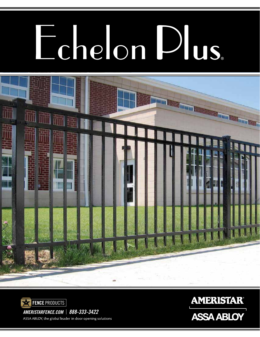# Echelon Dus





*AMERISTARFENCE.COM* | *888-333-3422* ASSA ABLOY, the global leader in door opening solutions **AMERISTAR® ASSA ABLOY**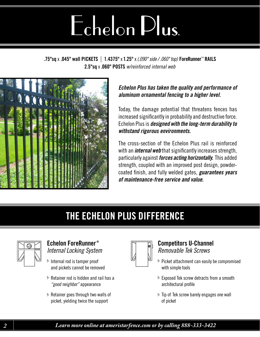## Echelon Plus.

.75"sq x .045" wall PICKETS | 1.4375" x 1.25" x*(.090" side / .060" top)* ForeRunner™ RAILS 2.5"sq x .060" POSTS *w/reinforced internal web*



#### *Echelon Plus has taken the quality and performance of aluminum ornamental fencing to a higher level.*

Today, the damage potential that threatens fences has increased significantly in probability and destructive force. Echelon Plus is *designed with the long-term durability to withstand rigorous environments.* 

The cross-section of the Echelon Plus rail is reinforced with an *internal web* that significantly increases strength, particularly against *forces acting horizontally.* This added strength, coupled with an improved post design, powdercoated finish, and fully welded gates, *guarantees years of maintenance-free service and value.*

#### THE ECHELON PLUS DIFFERENCE



#### Echelon ForeRunner ® *Internal Locking System*

- **>** Internal rod is tamper proof and pickets cannot be removed
- $\blacktriangleright$  Retainer rod is hidden and rail has a *"good neighbor"* appearance
- Retainer goes through two walls of jpicket, yielding twice the support



#### Competitors U-Channel *Removable Tek Screws*

- > Picket attachment can easily be compromised with simple tools
- Exposed Tek screw detracts from a smooth j architectural profile
- $\blacktriangleright$  Tip of Tek screw barely engages one wall of picket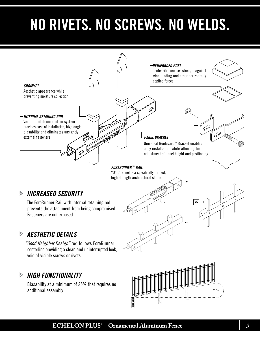### NO RIVETS. NO SCREWS. NO WELDS.



#### **ECHELON PLUS ®** | **Ornamental Aluminum Fence** *3*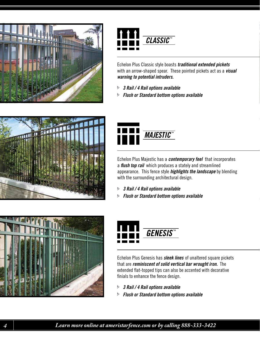



Echelon Plus Classic style boasts *traditional extended pickets*  with an arrow-shaped spear. These pointed pickets act as a *visual warning to potential intruders.*

- *3 Rail / 4 Rail options available* j
- *Flush or Standard bottom options available* j





Echelon Plus Majestic has a *contemporary feel* that incorporates a *flush top rail* which produces a stately and streamlined appearance. This fence style *highlights the landscape* by blending with the surrounding architectural design.

- *3 Rail / 4 Rail options available* j
- *Flush or Standard bottom options available* j





Echelon Plus Genesis has *sleek lines* of unaltered square pickets that are *reminiscent of solid vertical bar wrought iron.* The extended flat-topped tips can also be accented with decorative finials to enhance the fence design.

- *3 Rail / 4 Rail options available* j
- *Flush or Standard bottom options available* j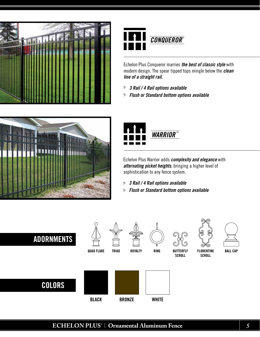



Echelon Plus Conqueror marries *the best of classic style* with modern design. The spear tipped tops mingle below the *clean line of a straight rail.* 

- *3 Rail / 4 Rail options available* j
- *Flush or Standard bottom options available* j





Echelon Plus Warrior adds *complexity and elegance* with *alternating picket heights*, bringing a higher level of sophistication to any fence system.

- *3 Rail / 4 Rail options available* j
- *Flush or Standard bottom options available* j

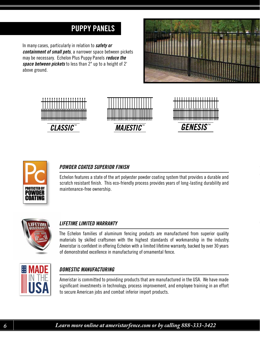#### PUPPY PANELS

In many cases, particularly in relation to *safety or containment of small pets*, a narrower space between pickets may be necessary. Echelon Plus Puppy Panels *reduce the space between pickets* to less than 2" up to a height of 2' above ground.











#### *POWDER COATED SUPERIOR FINISH*

Echelon features a state of the art polyester powder coating system that provides a durable and scratch resistant finish. This eco-friendly process provides years of long-lasting durability and maintenance-free ownership.



#### *LIFETIME LIMITED WARRANTY*

The Echelon families of aluminum fencing products are manufactured from superior quality materials by skilled craftsmen with the highest standards of workmanship in the industry. Ameristar is confident in offering Echelon with a limited lifetime warranty, backed by over 30 years of demonstrated excellence in manufacturing of ornamental fence.



#### *DOMESTIC MANUFACTURING*

Ameristar is committed to providing products that are manufactured in the USA. We have made significant investments in technology, process improvement, and employee training in an effort to secure American jobs and combat inferior import products.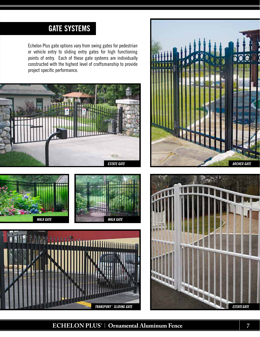#### GATE SYSTEMS

Echelon Plus gate options vary from swing gates for pedestrian or vehicle entry to sliding entry gates for high functioning points of entry. Each of these gate systems are individually constructed with the highest level of craftsmanship to provide project specific performance.













#### **ECHELON PLUS ®** | **Ornamental Aluminum Fence** *7*